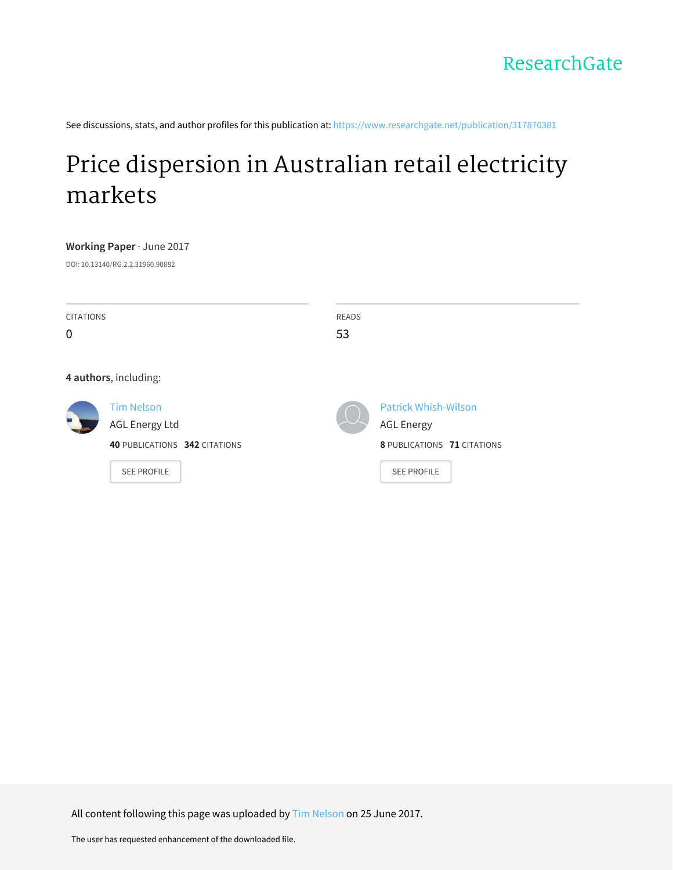See discussions, stats, and author profiles for this publication at: [https://www.researchgate.net/publication/317870381](https://www.researchgate.net/publication/317870381_Price_dispersion_in_Australian_retail_electricity_markets?enrichId=rgreq-b17f2dcf0247738589b50c51cc8e6fde-XXX&enrichSource=Y292ZXJQYWdlOzMxNzg3MDM4MTtBUzo1MDkwNzU0Nzc3NTc5NTJAMTQ5ODM4NDQ2MDE3OA%3D%3D&el=1_x_2&_esc=publicationCoverPdf)

# Price [dispersion](https://www.researchgate.net/publication/317870381_Price_dispersion_in_Australian_retail_electricity_markets?enrichId=rgreq-b17f2dcf0247738589b50c51cc8e6fde-XXX&enrichSource=Y292ZXJQYWdlOzMxNzg3MDM4MTtBUzo1MDkwNzU0Nzc3NTc5NTJAMTQ5ODM4NDQ2MDE3OA%3D%3D&el=1_x_3&_esc=publicationCoverPdf) in Australian retail electricity markets

**Working Paper** · June 2017

DOI: 10.13140/RG.2.2.31960.90882

| <b>CITATIONS</b><br>$\mathbf 0$ |                                                                                                   | <b>READS</b><br>53 |                                                                                                       |
|---------------------------------|---------------------------------------------------------------------------------------------------|--------------------|-------------------------------------------------------------------------------------------------------|
|                                 | 4 authors, including:                                                                             |                    |                                                                                                       |
|                                 | <b>Tim Nelson</b><br><b>AGL Energy Ltd</b><br>40 PUBLICATIONS 342 CITATIONS<br><b>SEE PROFILE</b> |                    | <b>Patrick Whish-Wilson</b><br><b>AGL Energy</b><br>8 PUBLICATIONS 71 CITATIONS<br><b>SEE PROFILE</b> |

All content following this page was uploaded by Tim [Nelson](https://www.researchgate.net/profile/Tim_Nelson7?enrichId=rgreq-b17f2dcf0247738589b50c51cc8e6fde-XXX&enrichSource=Y292ZXJQYWdlOzMxNzg3MDM4MTtBUzo1MDkwNzU0Nzc3NTc5NTJAMTQ5ODM4NDQ2MDE3OA%3D%3D&el=1_x_10&_esc=publicationCoverPdf) on 25 June 2017.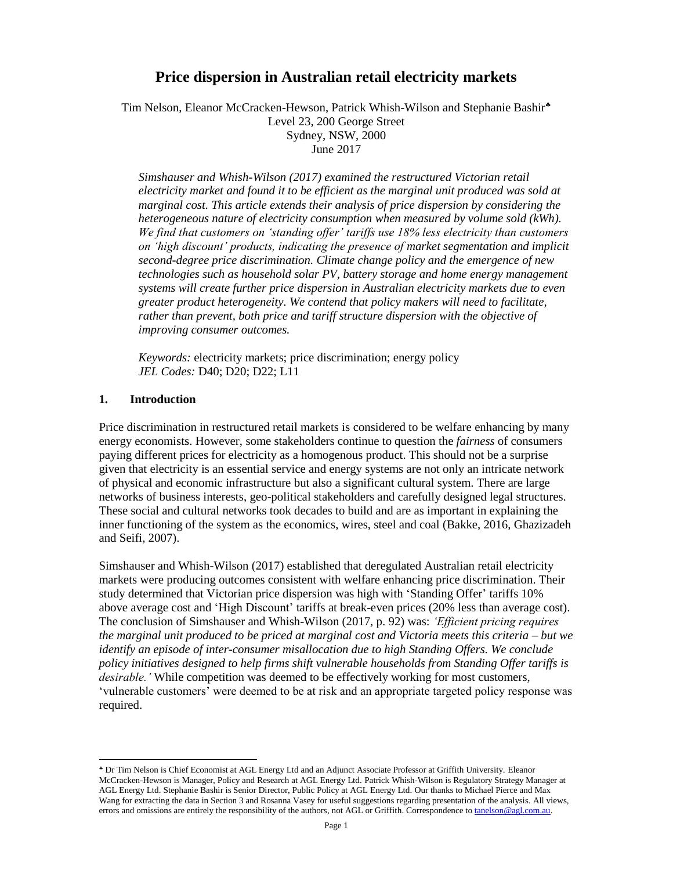# **Price dispersion in Australian retail electricity markets**

Tim Nelson, Eleanor McCracken-Hewson, Patrick Whish-Wilson and Stephanie Bashir Level 23, 200 George Street Sydney, NSW, 2000 June 2017

*Simshauser and Whish-Wilson (2017) examined the restructured Victorian retail electricity market and found it to be efficient as the marginal unit produced was sold at marginal cost. This article extends their analysis of price dispersion by considering the heterogeneous nature of electricity consumption when measured by volume sold (kWh). We find that customers on 'standing offer' tariffs use 18% less electricity than customers on 'high discount' products, indicating the presence of market segmentation and implicit second-degree price discrimination. Climate change policy and the emergence of new technologies such as household solar PV, battery storage and home energy management systems will create further price dispersion in Australian electricity markets due to even greater product heterogeneity. We contend that policy makers will need to facilitate, rather than prevent, both price and tariff structure dispersion with the objective of improving consumer outcomes.*

*Keywords:* electricity markets; price discrimination; energy policy *JEL Codes:* D40; D20; D22; L11

#### **1. Introduction**

 $\overline{a}$ 

Price discrimination in restructured retail markets is considered to be welfare enhancing by many energy economists. However, some stakeholders continue to question the *fairness* of consumers paying different prices for electricity as a homogenous product. This should not be a surprise given that electricity is an essential service and energy systems are not only an intricate network of physical and economic infrastructure but also a significant cultural system. There are large networks of business interests, geo-political stakeholders and carefully designed legal structures. These social and cultural networks took decades to build and are as important in explaining the inner functioning of the system as the economics, wires, steel and coal (Bakke, 2016, Ghazizadeh and Seifi, 2007).

Simshauser and Whish-Wilson (2017) established that deregulated Australian retail electricity markets were producing outcomes consistent with welfare enhancing price discrimination. Their study determined that Victorian price dispersion was high with 'Standing Offer' tariffs 10% above average cost and 'High Discount' tariffs at break-even prices (20% less than average cost). The conclusion of Simshauser and Whish-Wilson (2017, p. 92) was: *'Efficient pricing requires the marginal unit produced to be priced at marginal cost and Victoria meets this criteria – but we identify an episode of inter-consumer misallocation due to high Standing Offers. We conclude policy initiatives designed to help firms shift vulnerable households from Standing Offer tariffs is desirable.'* While competition was deemed to be effectively working for most customers, 'vulnerable customers' were deemed to be at risk and an appropriate targeted policy response was required.

Dr Tim Nelson is Chief Economist at AGL Energy Ltd and an Adjunct Associate Professor at Griffith University. Eleanor McCracken-Hewson is Manager, Policy and Research at AGL Energy Ltd. Patrick Whish-Wilson is Regulatory Strategy Manager at AGL Energy Ltd. Stephanie Bashir is Senior Director, Public Policy at AGL Energy Ltd. Our thanks to Michael Pierce and Max Wang for extracting the data in Section 3 and Rosanna Vasey for useful suggestions regarding presentation of the analysis. All views, errors and omissions are entirely the responsibility of the authors, not AGL or Griffith. Correspondence t[o tanelson@agl.com.au.](mailto:tanelson@agl.com.au)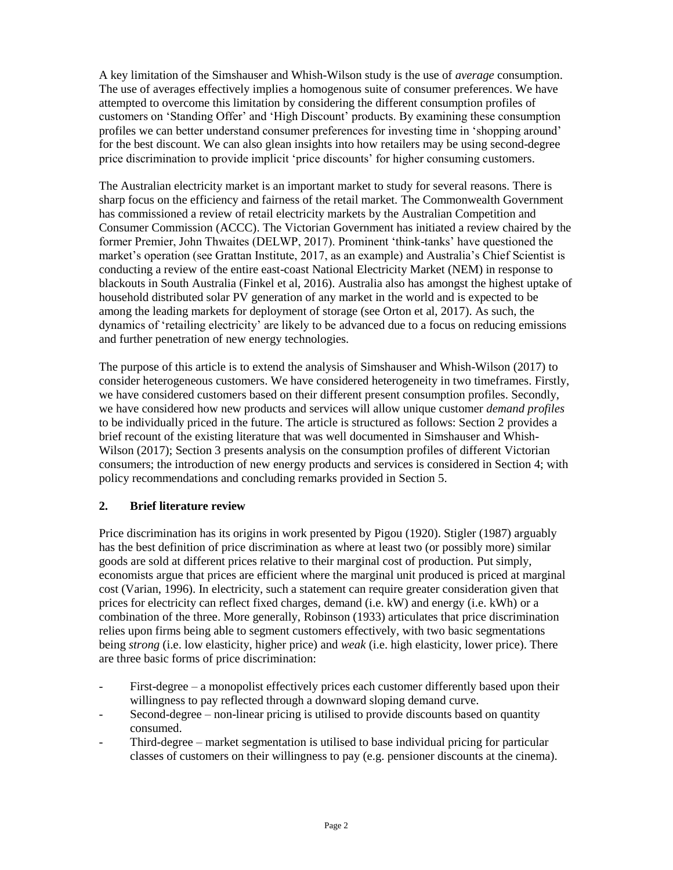A key limitation of the Simshauser and Whish-Wilson study is the use of *average* consumption. The use of averages effectively implies a homogenous suite of consumer preferences. We have attempted to overcome this limitation by considering the different consumption profiles of customers on 'Standing Offer' and 'High Discount' products. By examining these consumption profiles we can better understand consumer preferences for investing time in 'shopping around' for the best discount. We can also glean insights into how retailers may be using second-degree price discrimination to provide implicit 'price discounts' for higher consuming customers.

The Australian electricity market is an important market to study for several reasons. There is sharp focus on the efficiency and fairness of the retail market. The Commonwealth Government has commissioned a review of retail electricity markets by the Australian Competition and Consumer Commission (ACCC). The Victorian Government has initiated a review chaired by the former Premier, John Thwaites (DELWP, 2017). Prominent 'think-tanks' have questioned the market's operation (see Grattan Institute, 2017, as an example) and Australia's Chief Scientist is conducting a review of the entire east-coast National Electricity Market (NEM) in response to blackouts in South Australia (Finkel et al, 2016). Australia also has amongst the highest uptake of household distributed solar PV generation of any market in the world and is expected to be among the leading markets for deployment of storage (see Orton et al, 2017). As such, the dynamics of 'retailing electricity' are likely to be advanced due to a focus on reducing emissions and further penetration of new energy technologies.

The purpose of this article is to extend the analysis of Simshauser and Whish-Wilson (2017) to consider heterogeneous customers. We have considered heterogeneity in two timeframes. Firstly, we have considered customers based on their different present consumption profiles. Secondly, we have considered how new products and services will allow unique customer *demand profiles* to be individually priced in the future. The article is structured as follows: Section 2 provides a brief recount of the existing literature that was well documented in Simshauser and Whish-Wilson (2017); Section 3 presents analysis on the consumption profiles of different Victorian consumers; the introduction of new energy products and services is considered in Section 4; with policy recommendations and concluding remarks provided in Section 5.

## **2. Brief literature review**

Price discrimination has its origins in work presented by Pigou (1920). Stigler (1987) arguably has the best definition of price discrimination as where at least two (or possibly more) similar goods are sold at different prices relative to their marginal cost of production. Put simply, economists argue that prices are efficient where the marginal unit produced is priced at marginal cost (Varian, 1996). In electricity, such a statement can require greater consideration given that prices for electricity can reflect fixed charges, demand (i.e. kW) and energy (i.e. kWh) or a combination of the three. More generally, Robinson (1933) articulates that price discrimination relies upon firms being able to segment customers effectively, with two basic segmentations being *strong* (i.e. low elasticity, higher price) and *weak* (i.e. high elasticity, lower price). There are three basic forms of price discrimination:

- First-degree a monopolist effectively prices each customer differently based upon their willingness to pay reflected through a downward sloping demand curve.
- Second-degree non-linear pricing is utilised to provide discounts based on quantity consumed.
- Third-degree market segmentation is utilised to base individual pricing for particular classes of customers on their willingness to pay (e.g. pensioner discounts at the cinema).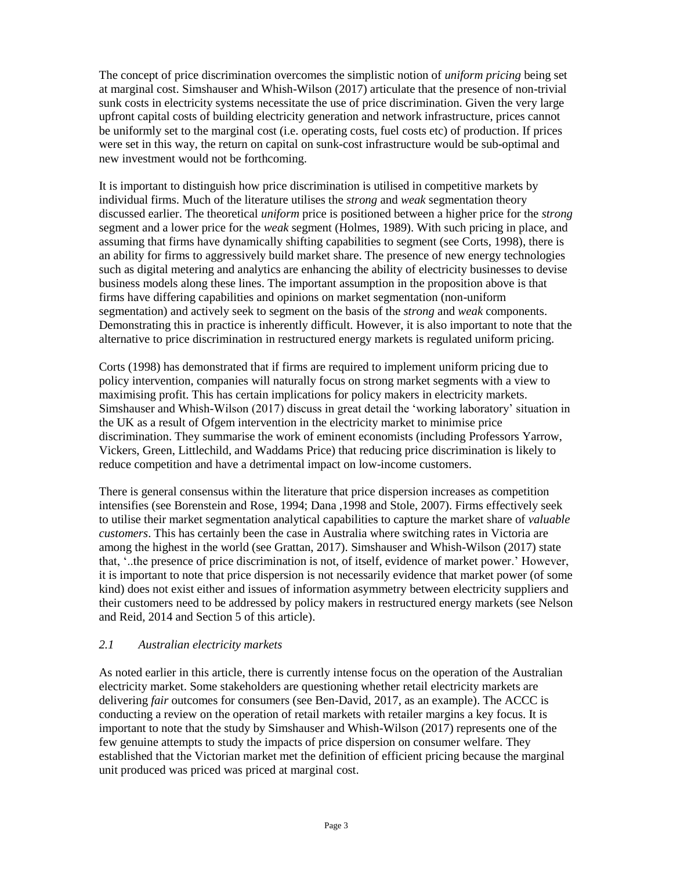The concept of price discrimination overcomes the simplistic notion of *uniform pricing* being set at marginal cost. Simshauser and Whish-Wilson (2017) articulate that the presence of non-trivial sunk costs in electricity systems necessitate the use of price discrimination. Given the very large upfront capital costs of building electricity generation and network infrastructure, prices cannot be uniformly set to the marginal cost (i.e. operating costs, fuel costs etc) of production. If prices were set in this way, the return on capital on sunk-cost infrastructure would be sub-optimal and new investment would not be forthcoming.

It is important to distinguish how price discrimination is utilised in competitive markets by individual firms. Much of the literature utilises the *strong* and *weak* segmentation theory discussed earlier. The theoretical *uniform* price is positioned between a higher price for the *strong*  segment and a lower price for the *weak* segment (Holmes, 1989). With such pricing in place, and assuming that firms have dynamically shifting capabilities to segment (see Corts, 1998), there is an ability for firms to aggressively build market share. The presence of new energy technologies such as digital metering and analytics are enhancing the ability of electricity businesses to devise business models along these lines. The important assumption in the proposition above is that firms have differing capabilities and opinions on market segmentation (non-uniform segmentation) and actively seek to segment on the basis of the *strong* and *weak* components. Demonstrating this in practice is inherently difficult. However, it is also important to note that the alternative to price discrimination in restructured energy markets is regulated uniform pricing.

Corts (1998) has demonstrated that if firms are required to implement uniform pricing due to policy intervention, companies will naturally focus on strong market segments with a view to maximising profit. This has certain implications for policy makers in electricity markets. Simshauser and Whish-Wilson (2017) discuss in great detail the 'working laboratory' situation in the UK as a result of Ofgem intervention in the electricity market to minimise price discrimination. They summarise the work of eminent economists (including Professors Yarrow, Vickers, Green, Littlechild, and Waddams Price) that reducing price discrimination is likely to reduce competition and have a detrimental impact on low-income customers.

There is general consensus within the literature that price dispersion increases as competition intensifies (see Borenstein and Rose, 1994; Dana ,1998 and Stole, 2007). Firms effectively seek to utilise their market segmentation analytical capabilities to capture the market share of *valuable customers*. This has certainly been the case in Australia where switching rates in Victoria are among the highest in the world (see Grattan, 2017). Simshauser and Whish-Wilson (2017) state that, '..the presence of price discrimination is not, of itself, evidence of market power.' However, it is important to note that price dispersion is not necessarily evidence that market power (of some kind) does not exist either and issues of information asymmetry between electricity suppliers and their customers need to be addressed by policy makers in restructured energy markets (see Nelson and Reid, 2014 and Section 5 of this article).

## *2.1 Australian electricity markets*

As noted earlier in this article, there is currently intense focus on the operation of the Australian electricity market. Some stakeholders are questioning whether retail electricity markets are delivering *fair* outcomes for consumers (see Ben-David, 2017, as an example). The ACCC is conducting a review on the operation of retail markets with retailer margins a key focus. It is important to note that the study by Simshauser and Whish-Wilson (2017) represents one of the few genuine attempts to study the impacts of price dispersion on consumer welfare. They established that the Victorian market met the definition of efficient pricing because the marginal unit produced was priced was priced at marginal cost.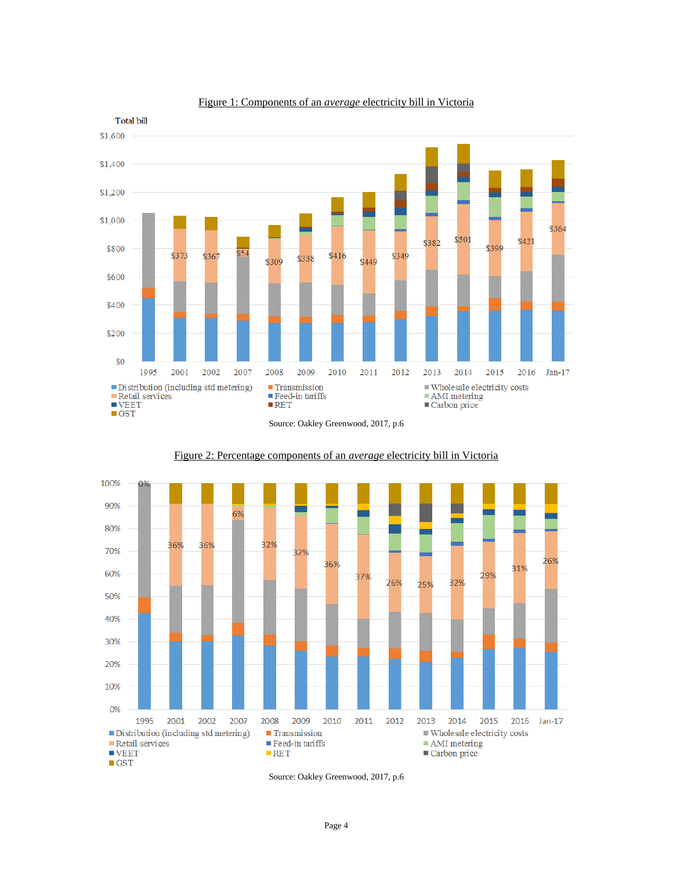

#### Figure 1: Components of an *average* electricity bill in Victoria





#### Figure 2: Percentage components of an *average* electricity bill in Victoria



Source: Oakley Greenwood, 2017, p.6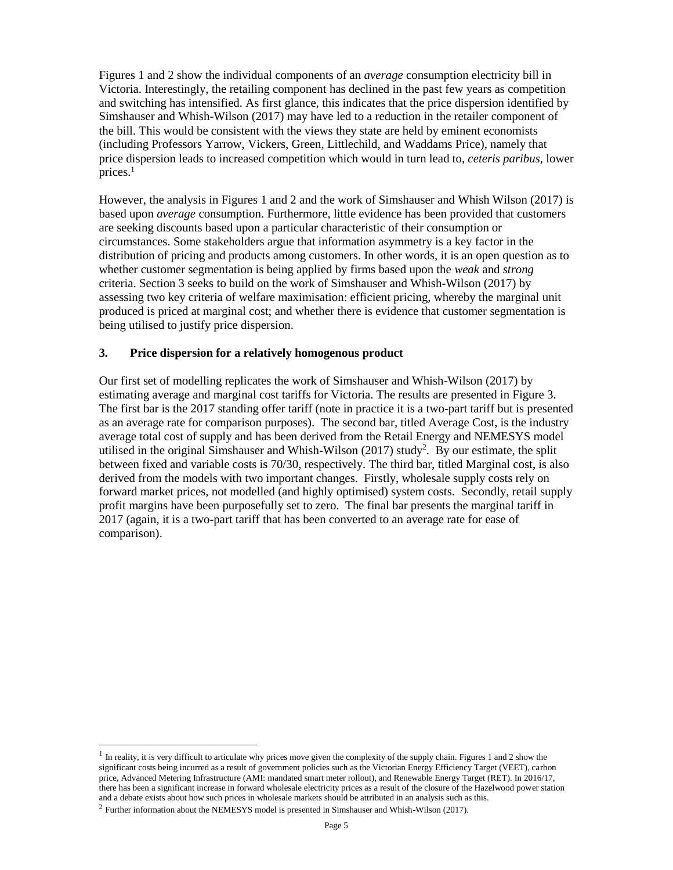Figures 1 and 2 show the individual components of an *average* consumption electricity bill in Victoria. Interestingly, the retailing component has declined in the past few years as competition and switching has intensified. As first glance, this indicates that the price dispersion identified by Simshauser and Whish-Wilson (2017) may have led to a reduction in the retailer component of the bill. This would be consistent with the views they state are held by eminent economists (including Professors Yarrow, Vickers, Green, Littlechild, and Waddams Price), namely that price dispersion leads to increased competition which would in turn lead to, *ceteris paribus,* lower prices. $<sup>1</sup>$ </sup>

However, the analysis in Figures 1 and 2 and the work of Simshauser and Whish Wilson (2017) is based upon *average* consumption. Furthermore, little evidence has been provided that customers are seeking discounts based upon a particular characteristic of their consumption or circumstances. Some stakeholders argue that information asymmetry is a key factor in the distribution of pricing and products among customers. In other words, it is an open question as to whether customer segmentation is being applied by firms based upon the *weak* and *strong* criteria. Section 3 seeks to build on the work of Simshauser and Whish-Wilson (2017) by assessing two key criteria of welfare maximisation: efficient pricing, whereby the marginal unit produced is priced at marginal cost; and whether there is evidence that customer segmentation is being utilised to justify price dispersion.

## **3. Price dispersion for a relatively homogenous product**

Our first set of modelling replicates the work of Simshauser and Whish-Wilson (2017) by estimating average and marginal cost tariffs for Victoria. The results are presented in Figure 3. The first bar is the 2017 standing offer tariff (note in practice it is a two-part tariff but is presented as an average rate for comparison purposes). The second bar, titled Average Cost, is the industry average total cost of supply and has been derived from the Retail Energy and NEMESYS model utilised in the original Simshauser and Whish-Wilson  $(2017)$  study<sup>2</sup>. By our estimate, the split between fixed and variable costs is 70/30, respectively. The third bar, titled Marginal cost, is also derived from the models with two important changes. Firstly, wholesale supply costs rely on forward market prices, not modelled (and highly optimised) system costs. Secondly, retail supply profit margins have been purposefully set to zero. The final bar presents the marginal tariff in 2017 (again, it is a two-part tariff that has been converted to an average rate for ease of comparison).

 $<sup>1</sup>$  In reality, it is very difficult to articulate why prices move given the complexity of the supply chain. Figures 1 and 2 show the</sup> significant costs being incurred as a result of government policies such as the Victorian Energy Efficiency Target (VEET), carbon price, Advanced Metering Infrastructure (AMI: mandated smart meter rollout), and Renewable Energy Target (RET). In 2016/17, there has been a significant increase in forward wholesale electricity prices as a result of the closure of the Hazelwood power station and a debate exists about how such prices in wholesale markets should be attributed in an analysis such as this.

 $2$  Further information about the NEMESYS model is presented in Simshauser and Whish-Wilson (2017).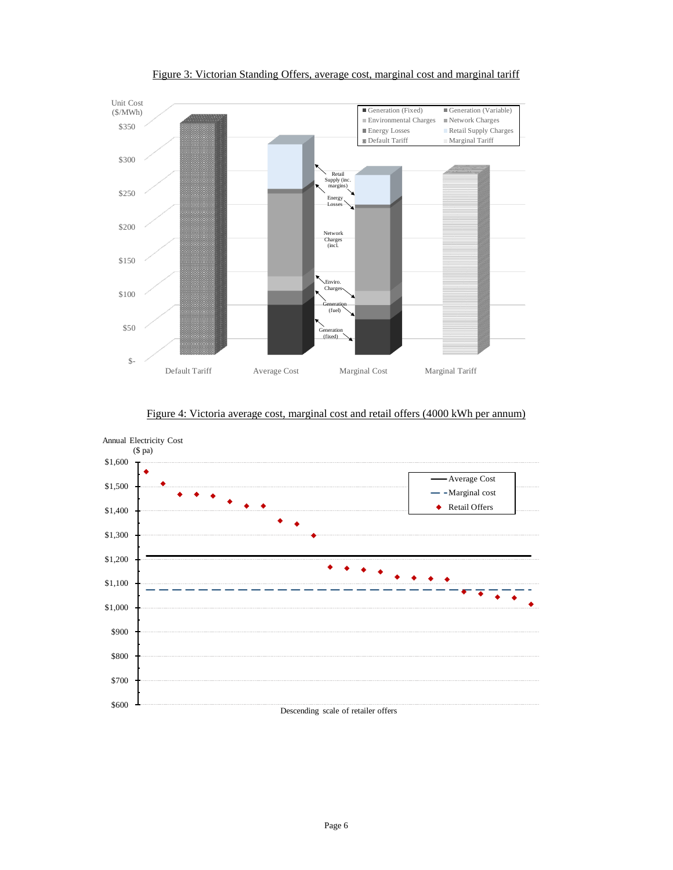

Figure 3: Victorian Standing Offers, average cost, marginal cost and marginal tariff



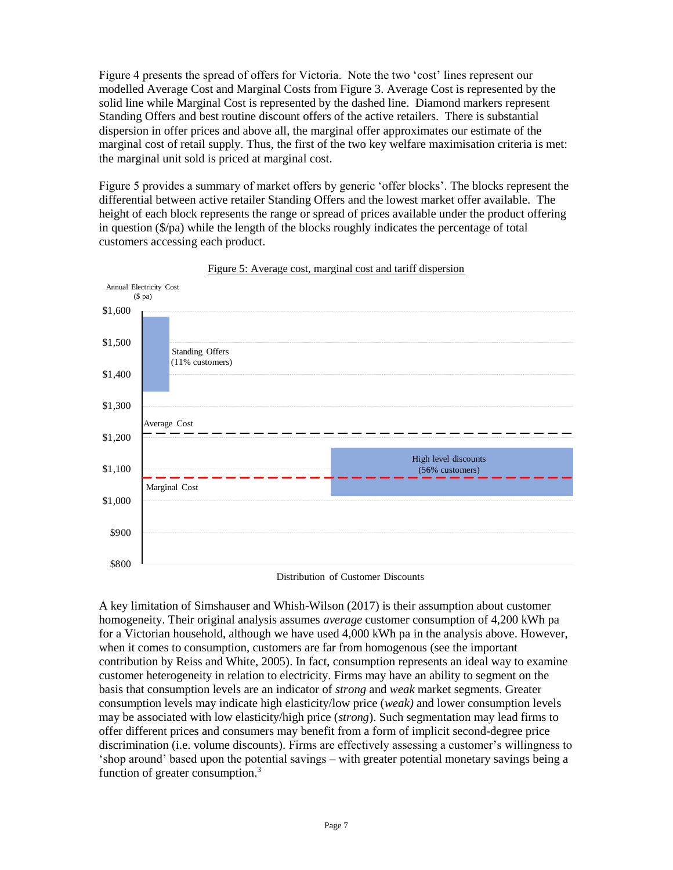Figure 4 presents the spread of offers for Victoria. Note the two 'cost' lines represent our modelled Average Cost and Marginal Costs from Figure 3. Average Cost is represented by the solid line while Marginal Cost is represented by the dashed line. Diamond markers represent Standing Offers and best routine discount offers of the active retailers. There is substantial dispersion in offer prices and above all, the marginal offer approximates our estimate of the marginal cost of retail supply. Thus, the first of the two key welfare maximisation criteria is met: the marginal unit sold is priced at marginal cost.

Figure 5 provides a summary of market offers by generic 'offer blocks'. The blocks represent the differential between active retailer Standing Offers and the lowest market offer available. The height of each block represents the range or spread of prices available under the product offering in question  $(\frac{6}{p}a)$  while the length of the blocks roughly indicates the percentage of total customers accessing each product.





Distribution of Customer Discounts

A key limitation of Simshauser and Whish-Wilson (2017) is their assumption about customer homogeneity. Their original analysis assumes *average* customer consumption of 4,200 kWh pa for a Victorian household, although we have used 4,000 kWh pa in the analysis above. However, when it comes to consumption, customers are far from homogenous (see the important contribution by Reiss and White, 2005). In fact, consumption represents an ideal way to examine customer heterogeneity in relation to electricity. Firms may have an ability to segment on the basis that consumption levels are an indicator of *strong* and *weak* market segments. Greater consumption levels may indicate high elasticity/low price (*weak)* and lower consumption levels may be associated with low elasticity/high price (*strong*). Such segmentation may lead firms to offer different prices and consumers may benefit from a form of implicit second-degree price discrimination (i.e. volume discounts). Firms are effectively assessing a customer's willingness to 'shop around' based upon the potential savings – with greater potential monetary savings being a function of greater consumption.<sup>3</sup>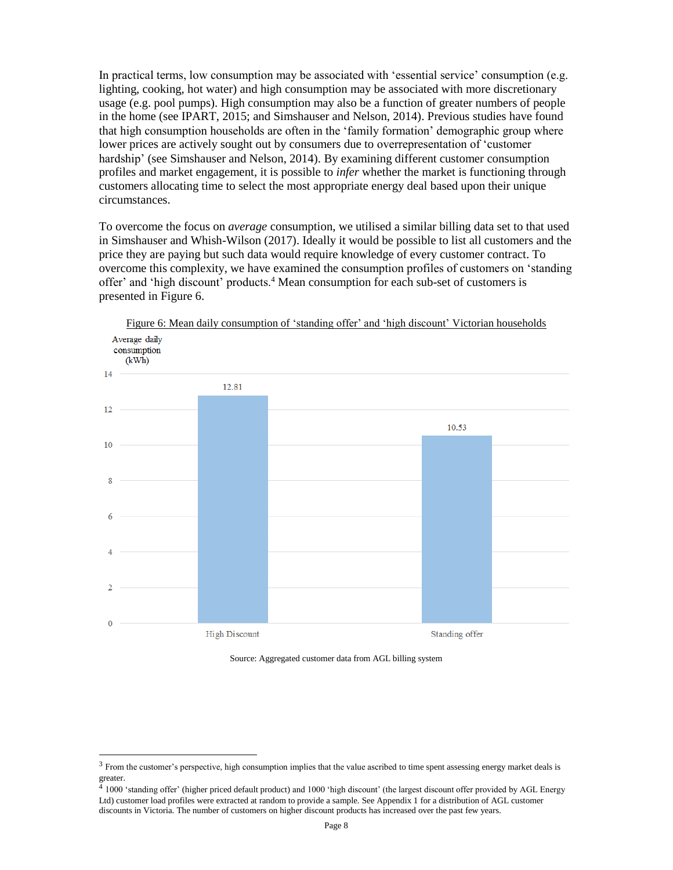In practical terms, low consumption may be associated with 'essential service' consumption (e.g. lighting, cooking, hot water) and high consumption may be associated with more discretionary usage (e.g. pool pumps). High consumption may also be a function of greater numbers of people in the home (see IPART, 2015; and Simshauser and Nelson, 2014). Previous studies have found that high consumption households are often in the 'family formation' demographic group where lower prices are actively sought out by consumers due to overrepresentation of 'customer hardship' (see Simshauser and Nelson, 2014). By examining different customer consumption profiles and market engagement, it is possible to *infer* whether the market is functioning through customers allocating time to select the most appropriate energy deal based upon their unique circumstances.

To overcome the focus on *average* consumption, we utilised a similar billing data set to that used in Simshauser and Whish-Wilson (2017). Ideally it would be possible to list all customers and the price they are paying but such data would require knowledge of every customer contract. To overcome this complexity, we have examined the consumption profiles of customers on 'standing offer' and 'high discount' products.<sup>4</sup> Mean consumption for each sub-set of customers is presented in Figure 6.



Figure 6: Mean daily consumption of 'standing offer' and 'high discount' Victorian households

Source: Aggregated customer data from AGL billing system

l

 $3$  From the customer's perspective, high consumption implies that the value ascribed to time spent assessing energy market deals is greater.

<sup>4</sup> 1000 'standing offer' (higher priced default product) and 1000 'high discount' (the largest discount offer provided by AGL Energy Ltd) customer load profiles were extracted at random to provide a sample. See Appendix 1 for a distribution of AGL customer discounts in Victoria. The number of customers on higher discount products has increased over the past few years.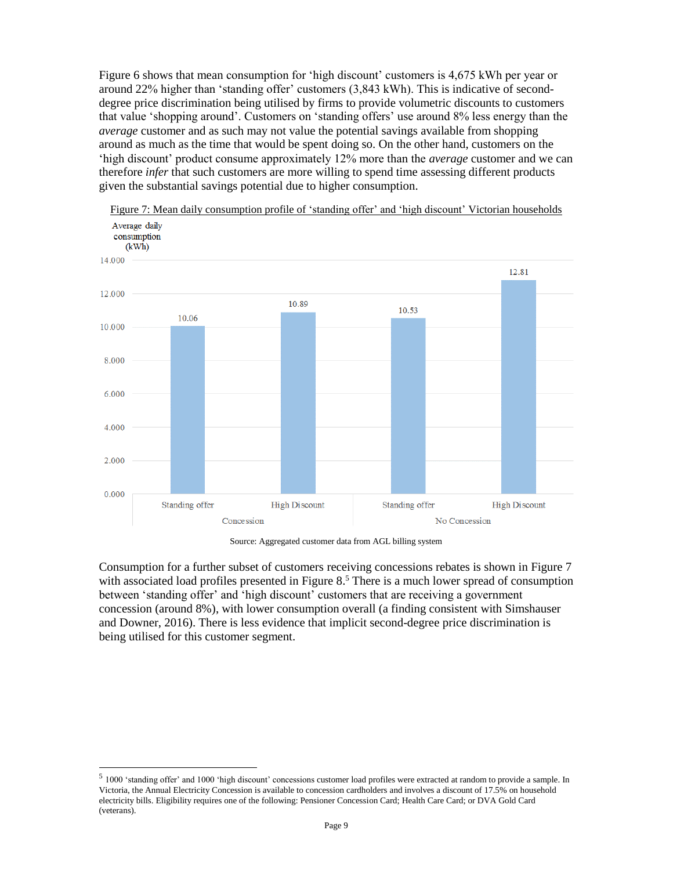Figure 6 shows that mean consumption for 'high discount' customers is 4,675 kWh per year or around 22% higher than 'standing offer' customers (3,843 kWh). This is indicative of seconddegree price discrimination being utilised by firms to provide volumetric discounts to customers that value 'shopping around'. Customers on 'standing offers' use around 8% less energy than the *average* customer and as such may not value the potential savings available from shopping around as much as the time that would be spent doing so. On the other hand, customers on the 'high discount' product consume approximately 12% more than the *average* customer and we can therefore *infer* that such customers are more willing to spend time assessing different products given the substantial savings potential due to higher consumption.



Figure 7: Mean daily consumption profile of 'standing offer' and 'high discount' Victorian households

Source: Aggregated customer data from AGL billing system

Consumption for a further subset of customers receiving concessions rebates is shown in Figure 7 with associated load profiles presented in Figure 8.<sup>5</sup> There is a much lower spread of consumption between 'standing offer' and 'high discount' customers that are receiving a government concession (around 8%), with lower consumption overall (a finding consistent with Simshauser and Downer, 2016). There is less evidence that implicit second-degree price discrimination is being utilised for this customer segment.

<sup>&</sup>lt;sup>5</sup> 1000 'standing offer' and 1000 'high discount' concessions customer load profiles were extracted at random to provide a sample. In Victoria, the Annual Electricity Concession is available to concession cardholders and involves a discount of 17.5% on household electricity bills. Eligibility requires one of the following: Pensioner Concession Card; Health Care Card; or DVA Gold Card (veterans).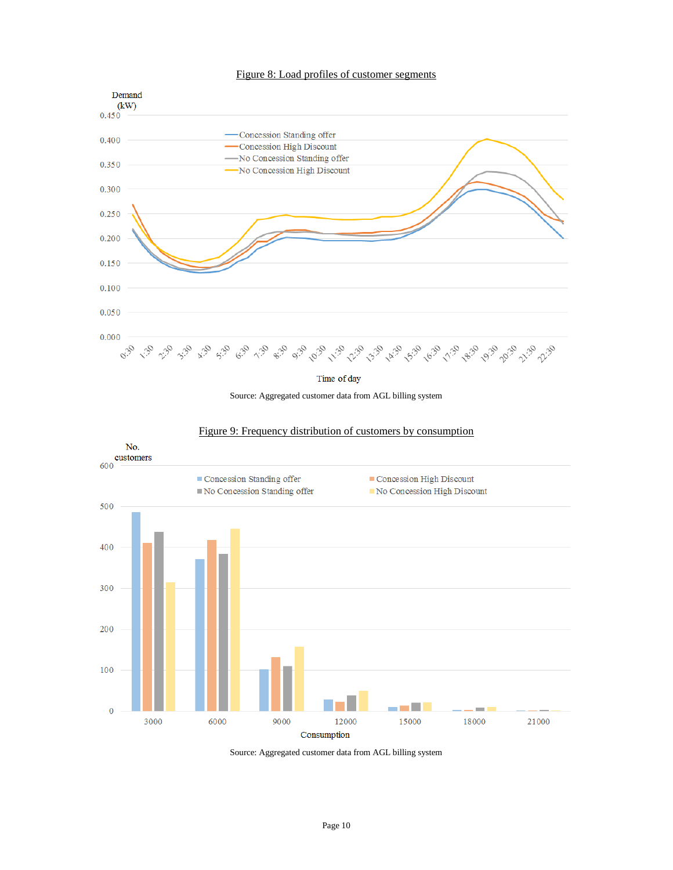#### Figure 8: Load profiles of customer segments



Time of day

Source: Aggregated customer data from AGL billing system



#### Figure 9: Frequency distribution of customers by consumption

Source: Aggregated customer data from AGL billing system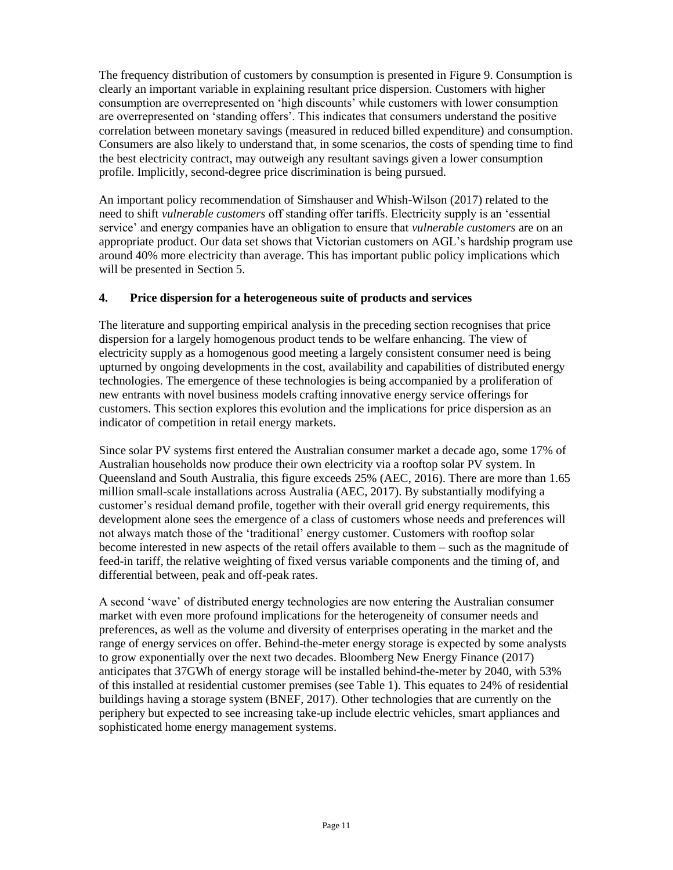The frequency distribution of customers by consumption is presented in Figure 9. Consumption is clearly an important variable in explaining resultant price dispersion. Customers with higher consumption are overrepresented on 'high discounts' while customers with lower consumption are overrepresented on 'standing offers'. This indicates that consumers understand the positive correlation between monetary savings (measured in reduced billed expenditure) and consumption. Consumers are also likely to understand that, in some scenarios, the costs of spending time to find the best electricity contract, may outweigh any resultant savings given a lower consumption profile. Implicitly, second-degree price discrimination is being pursued.

An important policy recommendation of Simshauser and Whish-Wilson (2017) related to the need to shift *vulnerable customers* off standing offer tariffs. Electricity supply is an 'essential service' and energy companies have an obligation to ensure that *vulnerable customers* are on an appropriate product. Our data set shows that Victorian customers on AGL's hardship program use around 40% more electricity than average. This has important public policy implications which will be presented in Section 5.

## **4. Price dispersion for a heterogeneous suite of products and services**

The literature and supporting empirical analysis in the preceding section recognises that price dispersion for a largely homogenous product tends to be welfare enhancing. The view of electricity supply as a homogenous good meeting a largely consistent consumer need is being upturned by ongoing developments in the cost, availability and capabilities of distributed energy technologies. The emergence of these technologies is being accompanied by a proliferation of new entrants with novel business models crafting innovative energy service offerings for customers. This section explores this evolution and the implications for price dispersion as an indicator of competition in retail energy markets.

Since solar PV systems first entered the Australian consumer market a decade ago, some 17% of Australian households now produce their own electricity via a rooftop solar PV system. In Queensland and South Australia, this figure exceeds 25% (AEC, 2016). There are more than 1.65 million small-scale installations across Australia (AEC, 2017). By substantially modifying a customer's residual demand profile, together with their overall grid energy requirements, this development alone sees the emergence of a class of customers whose needs and preferences will not always match those of the 'traditional' energy customer. Customers with rooftop solar become interested in new aspects of the retail offers available to them – such as the magnitude of feed-in tariff, the relative weighting of fixed versus variable components and the timing of, and differential between, peak and off-peak rates.

A second 'wave' of distributed energy technologies are now entering the Australian consumer market with even more profound implications for the heterogeneity of consumer needs and preferences, as well as the volume and diversity of enterprises operating in the market and the range of energy services on offer. Behind-the-meter energy storage is expected by some analysts to grow exponentially over the next two decades. Bloomberg New Energy Finance (2017) anticipates that 37GWh of energy storage will be installed behind-the-meter by 2040, with 53% of this installed at residential customer premises (see Table 1). This equates to 24% of residential buildings having a storage system (BNEF, 2017). Other technologies that are currently on the periphery but expected to see increasing take-up include electric vehicles, smart appliances and sophisticated home energy management systems.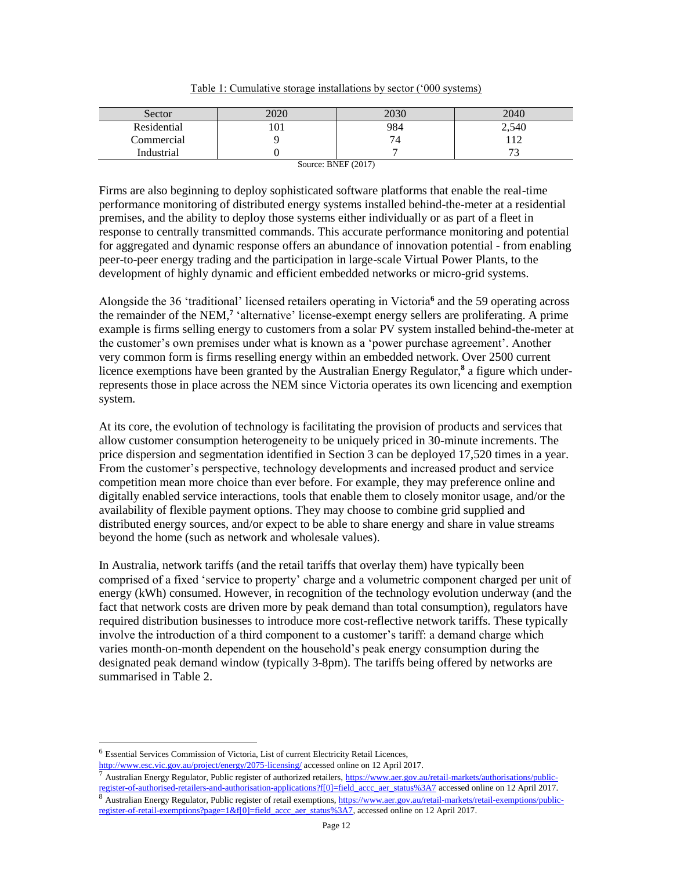| Sector      | 2020 | 2030 | 2040  |
|-------------|------|------|-------|
| Residential | 101  | 984  | 2,540 |

|--|

Industrial 1 0 1 7 7 73 Source: BNEF (2017)

Commercial 9 9 112

Firms are also beginning to deploy sophisticated software platforms that enable the real-time performance monitoring of distributed energy systems installed behind-the-meter at a residential premises, and the ability to deploy those systems either individually or as part of a fleet in response to centrally transmitted commands. This accurate performance monitoring and potential for aggregated and dynamic response offers an abundance of innovation potential - from enabling peer-to-peer energy trading and the participation in large-scale Virtual Power Plants, to the development of highly dynamic and efficient embedded networks or micro-grid systems.

Alongside the 36 'traditional' licensed retailers operating in Victoria**<sup>6</sup>** and the 59 operating across the remainder of the NEM,**<sup>7</sup>** 'alternative' license-exempt energy sellers are proliferating. A prime example is firms selling energy to customers from a solar PV system installed behind-the-meter at the customer's own premises under what is known as a 'power purchase agreement'. Another very common form is firms reselling energy within an embedded network. Over 2500 current licence exemptions have been granted by the Australian Energy Regulator,**<sup>8</sup>** a figure which underrepresents those in place across the NEM since Victoria operates its own licencing and exemption system.

At its core, the evolution of technology is facilitating the provision of products and services that allow customer consumption heterogeneity to be uniquely priced in 30-minute increments. The price dispersion and segmentation identified in Section 3 can be deployed 17,520 times in a year. From the customer's perspective, technology developments and increased product and service competition mean more choice than ever before. For example, they may preference online and digitally enabled service interactions, tools that enable them to closely monitor usage, and/or the availability of flexible payment options. They may choose to combine grid supplied and distributed energy sources, and/or expect to be able to share energy and share in value streams beyond the home (such as network and wholesale values).

In Australia, network tariffs (and the retail tariffs that overlay them) have typically been comprised of a fixed 'service to property' charge and a volumetric component charged per unit of energy (kWh) consumed. However, in recognition of the technology evolution underway (and the fact that network costs are driven more by peak demand than total consumption), regulators have required distribution businesses to introduce more cost-reflective network tariffs. These typically involve the introduction of a third component to a customer's tariff: a demand charge which varies month-on-month dependent on the household's peak energy consumption during the designated peak demand window (typically 3-8pm). The tariffs being offered by networks are summarised in Table 2.

 $\overline{a}$ 

<sup>7</sup> Australian Energy Regulator, Public register of authorized retailers[, https://www.aer.gov.au/retail-markets/authorisations/public](https://www.aer.gov.au/retail-markets/authorisations/public-register-of-authorised-retailers-and-authorisation-applications?f%5b0%5d=field_accc_aer_status%3A7)[register-of-authorised-retailers-and-authorisation-applications?f\[0\]=field\\_accc\\_aer\\_status%3A7](https://www.aer.gov.au/retail-markets/authorisations/public-register-of-authorised-retailers-and-authorisation-applications?f%5b0%5d=field_accc_aer_status%3A7) accessed online on 12 April 2017. 8 Australian Energy Regulator, Public register of retail exemptions[, https://www.aer.gov.au/retail-markets/retail-exemptions/public](https://www.aer.gov.au/retail-markets/retail-exemptions/public-register-of-retail-exemptions?page=1&f%5b0%5d=field_accc_aer_status%3A7)[register-of-retail-exemptions?page=1&f\[0\]=field\\_accc\\_aer\\_status%3A7,](https://www.aer.gov.au/retail-markets/retail-exemptions/public-register-of-retail-exemptions?page=1&f%5b0%5d=field_accc_aer_status%3A7) accessed online on 12 April 2017.

<sup>6</sup> Essential Services Commission of Victoria, List of current Electricity Retail Licences,

<http://www.esc.vic.gov.au/project/energy/2075-licensing/> accessed online on 12 April 2017.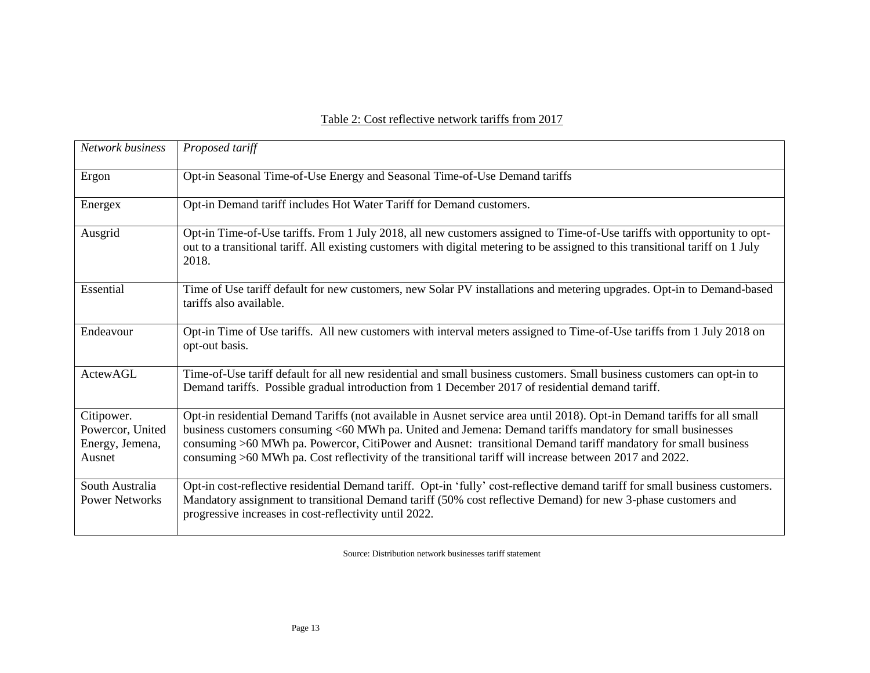## Table 2: Cost reflective network tariffs from 2017

| Network business                                            | Proposed tariff                                                                                                                                                                                                                                                                                                                                                                                                                                                   |  |  |
|-------------------------------------------------------------|-------------------------------------------------------------------------------------------------------------------------------------------------------------------------------------------------------------------------------------------------------------------------------------------------------------------------------------------------------------------------------------------------------------------------------------------------------------------|--|--|
| Ergon                                                       | Opt-in Seasonal Time-of-Use Energy and Seasonal Time-of-Use Demand tariffs                                                                                                                                                                                                                                                                                                                                                                                        |  |  |
| Energex                                                     | Opt-in Demand tariff includes Hot Water Tariff for Demand customers.                                                                                                                                                                                                                                                                                                                                                                                              |  |  |
| Ausgrid                                                     | Opt-in Time-of-Use tariffs. From 1 July 2018, all new customers assigned to Time-of-Use tariffs with opportunity to opt-<br>out to a transitional tariff. All existing customers with digital metering to be assigned to this transitional tariff on 1 July<br>2018.                                                                                                                                                                                              |  |  |
| Essential                                                   | Time of Use tariff default for new customers, new Solar PV installations and metering upgrades. Opt-in to Demand-based<br>tariffs also available.                                                                                                                                                                                                                                                                                                                 |  |  |
| Endeavour                                                   | Opt-in Time of Use tariffs. All new customers with interval meters assigned to Time-of-Use tariffs from 1 July 2018 on<br>opt-out basis.                                                                                                                                                                                                                                                                                                                          |  |  |
| <b>ActewAGL</b>                                             | Time-of-Use tariff default for all new residential and small business customers. Small business customers can opt-in to<br>Demand tariffs. Possible gradual introduction from 1 December 2017 of residential demand tariff.                                                                                                                                                                                                                                       |  |  |
| Citipower.<br>Powercor, United<br>Energy, Jemena,<br>Ausnet | Opt-in residential Demand Tariffs (not available in Ausnet service area until 2018). Opt-in Demand tariffs for all small<br>business customers consuming <60 MWh pa. United and Jemena: Demand tariffs mandatory for small businesses<br>consuming >60 MWh pa. Powercor, CitiPower and Ausnet: transitional Demand tariff mandatory for small business<br>consuming >60 MWh pa. Cost reflectivity of the transitional tariff will increase between 2017 and 2022. |  |  |
| South Australia<br><b>Power Networks</b>                    | Opt-in cost-reflective residential Demand tariff. Opt-in 'fully' cost-reflective demand tariff for small business customers.<br>Mandatory assignment to transitional Demand tariff (50% cost reflective Demand) for new 3-phase customers and<br>progressive increases in cost-reflectivity until 2022.                                                                                                                                                           |  |  |

Source: Distribution network businesses tariff statement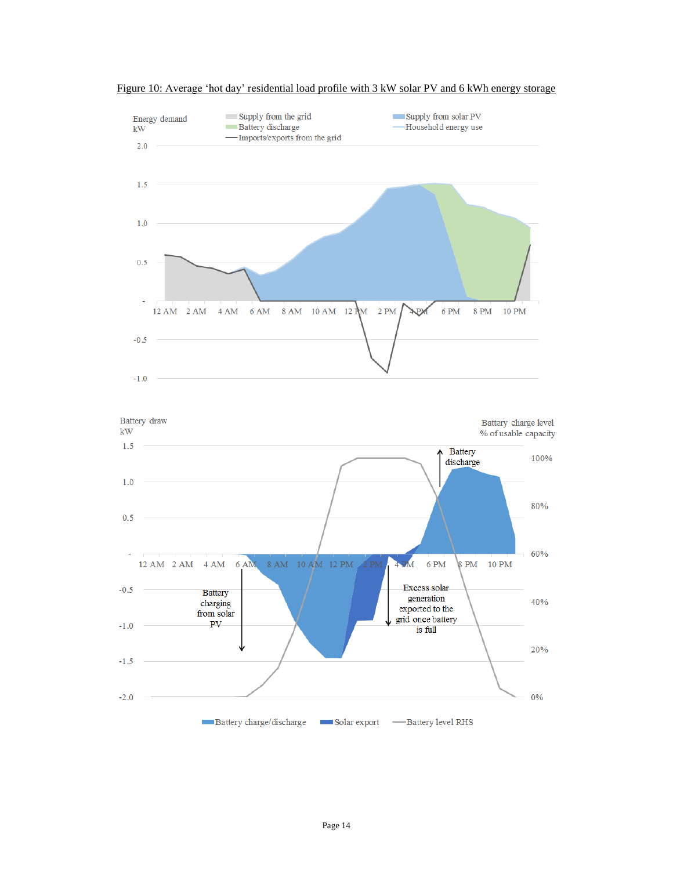

Figure 10: Average 'hot day' residential load profile with 3 kW solar PV and 6 kWh energy storage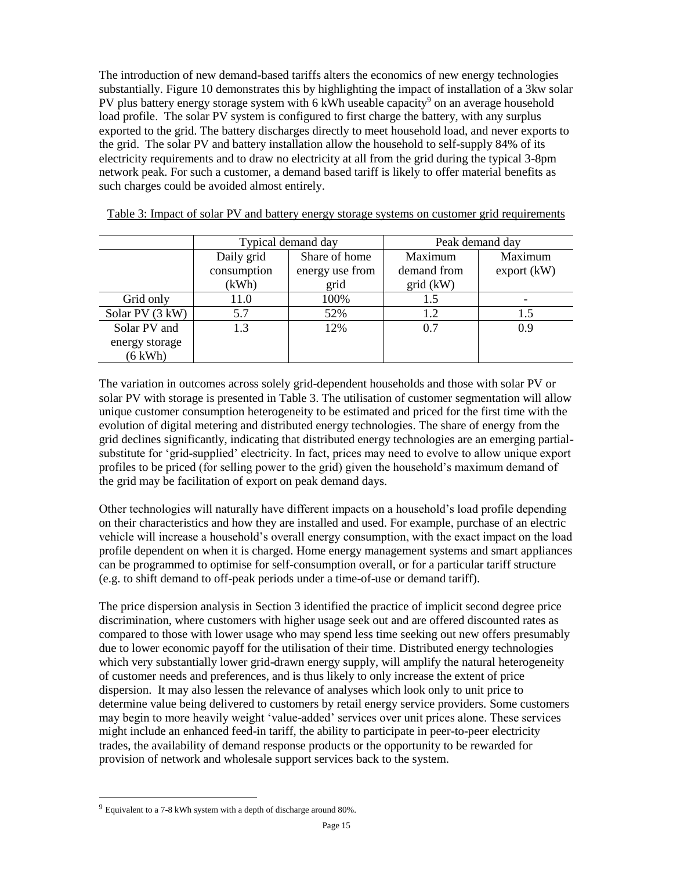The introduction of new demand-based tariffs alters the economics of new energy technologies substantially. Figure 10 demonstrates this by highlighting the impact of installation of a 3kw solar PV plus battery energy storage system with 6 kWh useable capacity<sup>9</sup> on an average household load profile. The solar PV system is configured to first charge the battery, with any surplus exported to the grid. The battery discharges directly to meet household load, and never exports to the grid. The solar PV and battery installation allow the household to self-supply 84% of its electricity requirements and to draw no electricity at all from the grid during the typical 3-8pm network peak. For such a customer, a demand based tariff is likely to offer material benefits as such charges could be avoided almost entirely.

|                   | Typical demand day |                 | Peak demand day |                 |
|-------------------|--------------------|-----------------|-----------------|-----------------|
|                   | Daily grid         | Share of home   | Maximum         | Maximum         |
|                   | consumption        | energy use from | demand from     | $\exp$ ort (kW) |
|                   | (kWh)              | grid            | $grid$ (kW)     |                 |
| Grid only         | 11.0               | 100%            | 1.5             |                 |
| Solar PV (3 kW)   | 5.7                | 52%             | 1.2             | 1.5             |
| Solar PV and      | 1.3                | 12%             | 0.7             | 0.9             |
| energy storage    |                    |                 |                 |                 |
| $(6 \text{ kWh})$ |                    |                 |                 |                 |

Table 3: Impact of solar PV and battery energy storage systems on customer grid requirements

The variation in outcomes across solely grid-dependent households and those with solar PV or solar PV with storage is presented in Table 3. The utilisation of customer segmentation will allow unique customer consumption heterogeneity to be estimated and priced for the first time with the evolution of digital metering and distributed energy technologies. The share of energy from the grid declines significantly, indicating that distributed energy technologies are an emerging partialsubstitute for 'grid-supplied' electricity. In fact, prices may need to evolve to allow unique export profiles to be priced (for selling power to the grid) given the household's maximum demand of the grid may be facilitation of export on peak demand days.

Other technologies will naturally have different impacts on a household's load profile depending on their characteristics and how they are installed and used. For example, purchase of an electric vehicle will increase a household's overall energy consumption, with the exact impact on the load profile dependent on when it is charged. Home energy management systems and smart appliances can be programmed to optimise for self-consumption overall, or for a particular tariff structure (e.g. to shift demand to off-peak periods under a time-of-use or demand tariff).

The price dispersion analysis in Section 3 identified the practice of implicit second degree price discrimination, where customers with higher usage seek out and are offered discounted rates as compared to those with lower usage who may spend less time seeking out new offers presumably due to lower economic payoff for the utilisation of their time. Distributed energy technologies which very substantially lower grid-drawn energy supply, will amplify the natural heterogeneity of customer needs and preferences, and is thus likely to only increase the extent of price dispersion. It may also lessen the relevance of analyses which look only to unit price to determine value being delivered to customers by retail energy service providers. Some customers may begin to more heavily weight 'value-added' services over unit prices alone. These services might include an enhanced feed-in tariff, the ability to participate in peer-to-peer electricity trades, the availability of demand response products or the opportunity to be rewarded for provision of network and wholesale support services back to the system.

 $9$  Equivalent to a 7-8 kWh system with a depth of discharge around 80%.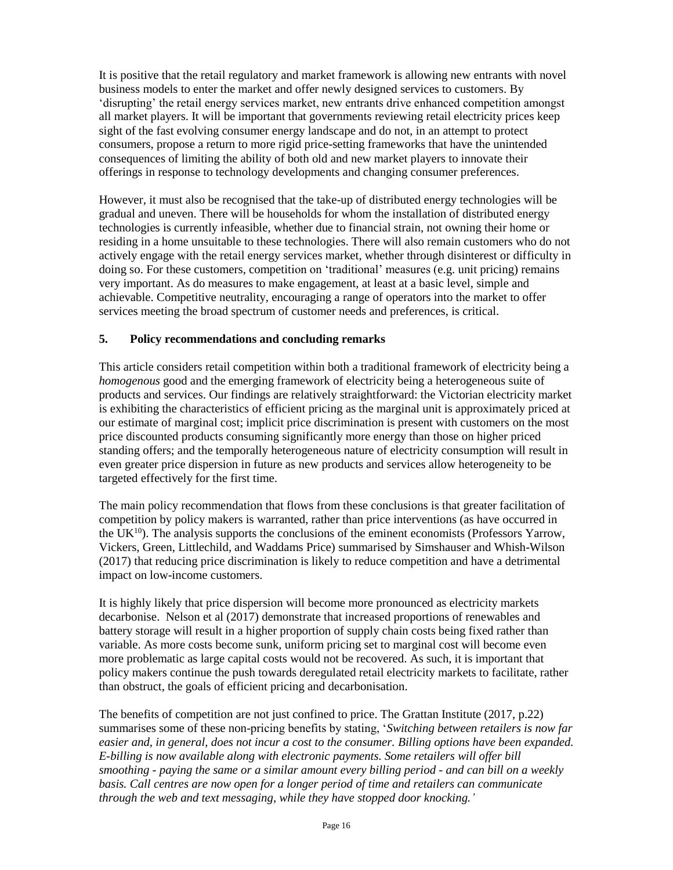It is positive that the retail regulatory and market framework is allowing new entrants with novel business models to enter the market and offer newly designed services to customers. By 'disrupting' the retail energy services market, new entrants drive enhanced competition amongst all market players. It will be important that governments reviewing retail electricity prices keep sight of the fast evolving consumer energy landscape and do not, in an attempt to protect consumers, propose a return to more rigid price-setting frameworks that have the unintended consequences of limiting the ability of both old and new market players to innovate their offerings in response to technology developments and changing consumer preferences.

However, it must also be recognised that the take-up of distributed energy technologies will be gradual and uneven. There will be households for whom the installation of distributed energy technologies is currently infeasible, whether due to financial strain, not owning their home or residing in a home unsuitable to these technologies. There will also remain customers who do not actively engage with the retail energy services market, whether through disinterest or difficulty in doing so. For these customers, competition on 'traditional' measures (e.g. unit pricing) remains very important. As do measures to make engagement, at least at a basic level, simple and achievable. Competitive neutrality, encouraging a range of operators into the market to offer services meeting the broad spectrum of customer needs and preferences, is critical.

## **5. Policy recommendations and concluding remarks**

This article considers retail competition within both a traditional framework of electricity being a *homogenous* good and the emerging framework of electricity being a heterogeneous suite of products and services. Our findings are relatively straightforward: the Victorian electricity market is exhibiting the characteristics of efficient pricing as the marginal unit is approximately priced at our estimate of marginal cost; implicit price discrimination is present with customers on the most price discounted products consuming significantly more energy than those on higher priced standing offers; and the temporally heterogeneous nature of electricity consumption will result in even greater price dispersion in future as new products and services allow heterogeneity to be targeted effectively for the first time.

The main policy recommendation that flows from these conclusions is that greater facilitation of competition by policy makers is warranted, rather than price interventions (as have occurred in the  $UK^{10}$ ). The analysis supports the conclusions of the eminent economists (Professors Yarrow, Vickers, Green, Littlechild, and Waddams Price) summarised by Simshauser and Whish-Wilson (2017) that reducing price discrimination is likely to reduce competition and have a detrimental impact on low-income customers.

It is highly likely that price dispersion will become more pronounced as electricity markets decarbonise. Nelson et al (2017) demonstrate that increased proportions of renewables and battery storage will result in a higher proportion of supply chain costs being fixed rather than variable. As more costs become sunk, uniform pricing set to marginal cost will become even more problematic as large capital costs would not be recovered. As such, it is important that policy makers continue the push towards deregulated retail electricity markets to facilitate, rather than obstruct, the goals of efficient pricing and decarbonisation.

The benefits of competition are not just confined to price. The Grattan Institute (2017, p.22) summarises some of these non-pricing benefits by stating, '*Switching between retailers is now far easier and, in general, does not incur a cost to the consumer. Billing options have been expanded. E-billing is now available along with electronic payments. Some retailers will offer bill smoothing - paying the same or a similar amount every billing period - and can bill on a weekly basis. Call centres are now open for a longer period of time and retailers can communicate through the web and text messaging, while they have stopped door knocking.'*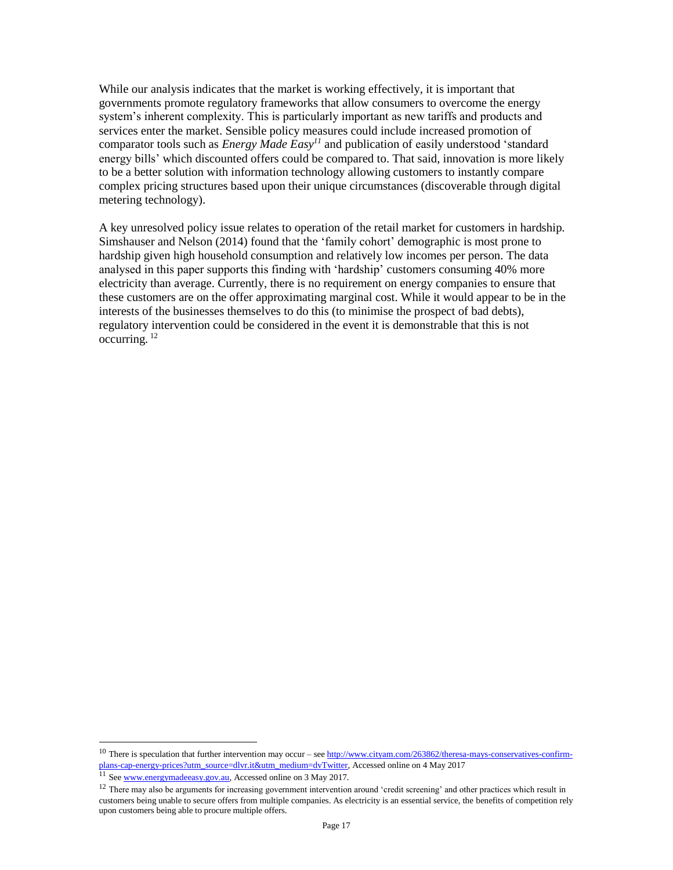While our analysis indicates that the market is working effectively, it is important that governments promote regulatory frameworks that allow consumers to overcome the energy system's inherent complexity. This is particularly important as new tariffs and products and services enter the market. Sensible policy measures could include increased promotion of comparator tools such as *Energy Made Easy<sup>11</sup>* and publication of easily understood 'standard energy bills' which discounted offers could be compared to. That said, innovation is more likely to be a better solution with information technology allowing customers to instantly compare complex pricing structures based upon their unique circumstances (discoverable through digital metering technology).

A key unresolved policy issue relates to operation of the retail market for customers in hardship. Simshauser and Nelson (2014) found that the 'family cohort' demographic is most prone to hardship given high household consumption and relatively low incomes per person. The data analysed in this paper supports this finding with 'hardship' customers consuming 40% more electricity than average. Currently, there is no requirement on energy companies to ensure that these customers are on the offer approximating marginal cost. While it would appear to be in the interests of the businesses themselves to do this (to minimise the prospect of bad debts), regulatory intervention could be considered in the event it is demonstrable that this is not occurring. <sup>12</sup>

<sup>&</sup>lt;sup>10</sup> There is speculation that further intervention may occur – see  $\frac{http://www.cityam.com/263862/theresa-mays-conservative-sconfirm$ [plans-cap-energy-prices?utm\\_source=dlvr.it&utm\\_medium=dvTwitter,](http://www.cityam.com/263862/theresa-mays-conservatives-confirm-plans-cap-energy-prices?utm_source=dlvr.it&utm_medium=dvTwitter) Accessed online on 4 May 2017

<sup>&</sup>lt;sup>11</sup> Se[e www.energymadeeasy.gov.au,](http://www.energymadeeasy.gov.au/) Accessed online on 3 May 2017.

 $12$  There may also be arguments for increasing government intervention around 'credit screening' and other practices which result in customers being unable to secure offers from multiple companies. As electricity is an essential service, the benefits of competition rely upon customers being able to procure multiple offers.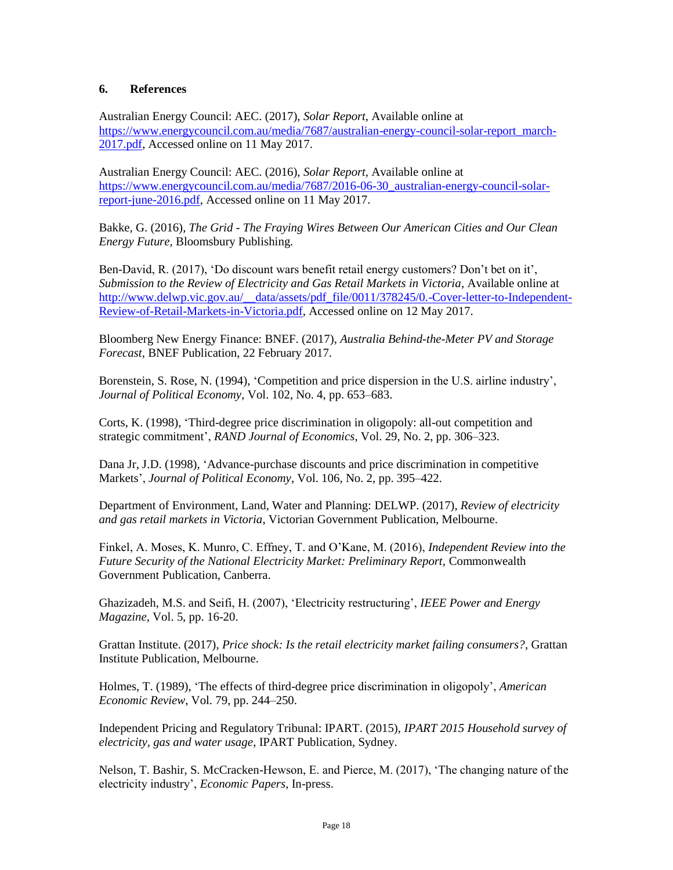#### **6. References**

Australian Energy Council: AEC. (2017), *Solar Report*, Available online at [https://www.energycouncil.com.au/media/7687/australian-energy-council-solar-report\\_march-](https://www.energycouncil.com.au/media/7687/australian-energy-council-solar-report_march-2017.pdf)[2017.pdf,](https://www.energycouncil.com.au/media/7687/australian-energy-council-solar-report_march-2017.pdf) Accessed online on 11 May 2017.

Australian Energy Council: AEC. (2016), *Solar Report,* Available online at [https://www.energycouncil.com.au/media/7687/2016-06-30\\_australian-energy-council-solar](https://www.energycouncil.com.au/media/7687/2016-06-30_australian-energy-council-solar-report-june-2016.pdf)[report-june-2016.pdf,](https://www.energycouncil.com.au/media/7687/2016-06-30_australian-energy-council-solar-report-june-2016.pdf) Accessed online on 11 May 2017.

Bakke, G. (2016), *The Grid - The Fraying Wires Between Our American Cities and Our Clean Energy Future,* Bloomsbury Publishing.

Ben-David, R. (2017), 'Do discount wars benefit retail energy customers? Don't bet on it', *Submission to the Review of Electricity and Gas Retail Markets in Victoria*, Available online at http://www.delwp.vic.gov.au/ data/assets/pdf file/0011/378245/0.-Cover-letter-to-Independent-[Review-of-Retail-Markets-in-Victoria.pdf,](http://www.delwp.vic.gov.au/__data/assets/pdf_file/0011/378245/0.-Cover-letter-to-Independent-Review-of-Retail-Markets-in-Victoria.pdf) Accessed online on 12 May 2017.

Bloomberg New Energy Finance: BNEF. (2017), *Australia Behind-the-Meter PV and Storage Forecast*, BNEF Publication, 22 February 2017.

Borenstein, S. Rose, N. (1994), 'Competition and price dispersion in the U.S. airline industry', *Journal of Political Economy*, Vol. 102, No. 4, pp. 653–683.

Corts, K. (1998), 'Third-degree price discrimination in oligopoly: all-out competition and strategic commitment', *RAND Journal of Economics*, Vol. 29, No. 2, pp. 306–323.

Dana Jr, J.D. (1998), 'Advance-purchase discounts and price discrimination in competitive Markets', *Journal of Political Economy*, Vol. 106, No. 2, pp. 395–422.

Department of Environment, Land, Water and Planning: DELWP. (2017), *Review of electricity and gas retail markets in Victoria*, Victorian Government Publication, Melbourne.

Finkel, A. Moses, K. Munro, C. Effney, T. and O'Kane, M. (2016), *Independent Review into the Future Security of the National Electricity Market: Preliminary Report,* Commonwealth Government Publication, Canberra.

Ghazizadeh, M.S. and Seifi, H. (2007), 'Electricity restructuring', *IEEE Power and Energy Magazine*, Vol. 5, pp. 16-20.

Grattan Institute. (2017), *Price shock: Is the retail electricity market failing consumers?*, Grattan Institute Publication, Melbourne.

Holmes, T. (1989), 'The effects of third-degree price discrimination in oligopoly', *American Economic Review*, Vol. 79, pp. 244–250.

Independent Pricing and Regulatory Tribunal: IPART. (2015), *IPART 2015 Household survey of electricity, gas and water usage*, IPART Publication, Sydney.

Nelson, T. Bashir, S. McCracken-Hewson, E. and Pierce, M. (2017), 'The changing nature of the electricity industry', *Economic Papers*, In-press.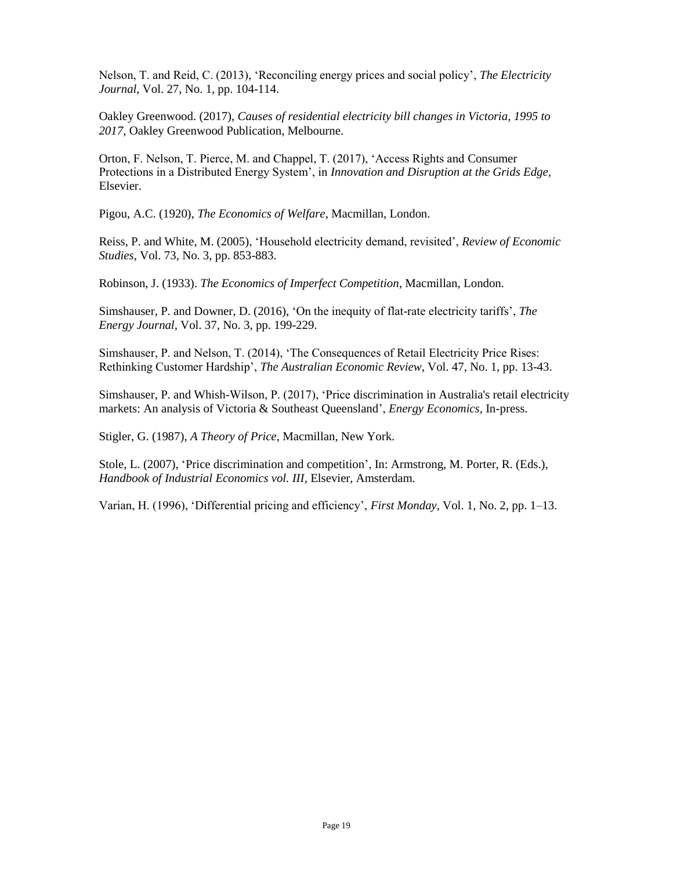Nelson, T. and Reid, C. (2013), 'Reconciling energy prices and social policy', *The Electricity Journal*, Vol. 27, No. 1, pp. 104-114.

Oakley Greenwood. (2017), *Causes of residential electricity bill changes in Victoria, 1995 to 2017,* Oakley Greenwood Publication, Melbourne.

Orton, F. Nelson, T. Pierce, M. and Chappel, T. (2017), 'Access Rights and Consumer Protections in a Distributed Energy System', in *Innovation and Disruption at the Grids Edge,*  Elsevier.

Pigou, A.C. (1920), *The Economics of Welfare*, Macmillan, London.

Reiss, P. and White, M. (2005), 'Household electricity demand, revisited', *Review of Economic Studies,* Vol. 73, No. 3, pp. 853-883.

Robinson, J. (1933). *The Economics of Imperfect Competition*, Macmillan, London.

Simshauser, P. and Downer, D. (2016), 'On the inequity of flat-rate electricity tariffs', *The Energy Journal,* Vol. 37, No. 3, pp. 199-229.

Simshauser, P. and Nelson, T. (2014), 'The Consequences of Retail Electricity Price Rises: Rethinking Customer Hardship', *The Australian Economic Review*, Vol. 47, No. 1, pp. 13-43.

Simshauser, P. and Whish-Wilson, P. (2017), 'Price discrimination in Australia's retail electricity markets: An analysis of Victoria & Southeast Queensland', *Energy Economics,* In-press.

Stigler, G. (1987), *A Theory of Price*, Macmillan, New York.

Stole, L. (2007), 'Price discrimination and competition', In: Armstrong, M. Porter, R. (Eds.), *Handbook of Industrial Economics vol. III,* Elsevier, Amsterdam.

Varian, H. (1996), 'Differential pricing and efficiency', *First Monday*, Vol. 1, No. 2, pp. 1–13.